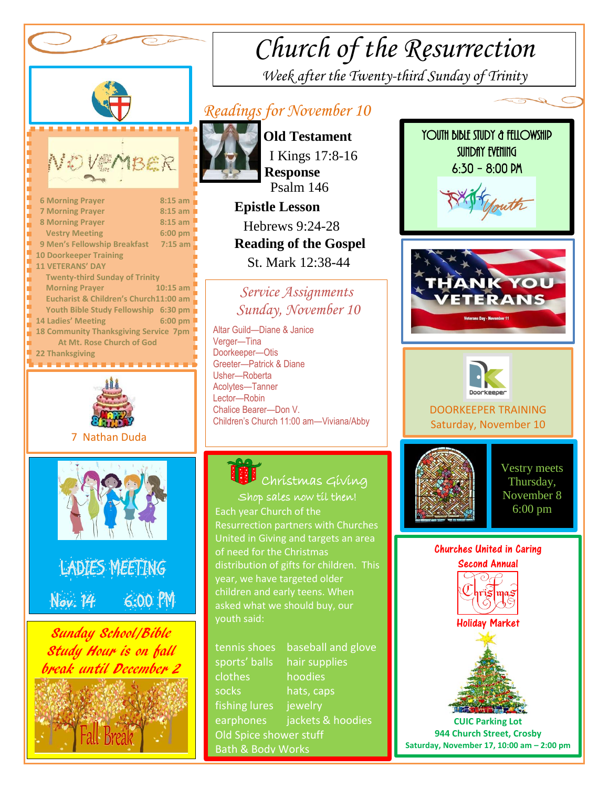

# *Church of the Resurrection*

*Week after the Twenty-third Sunday of Trinity* 

### *Readings for November 10*



 **Old Testament** I Kings 17:8-16  **Response** Psalm 146  **Epistle Lesson**

 Hebrews 9:24-28  **Reading of the Gospel**  St. Mark 12:38-44

#### *Service Assignments Sunday, November 10*

 Altar Guild—Diane & Janice Children's Church 11:00 am—Viviana/Abby Verger-Tina Doorkeeper—Otis Greeter—Patrick & Diane Usher—Roberta Acolytes—Tanner Lector—Robin Chalice Bearer—Don V.

## Shop sales now til then! Christmas Giving

year, we have targeted older Each year Church of the Resurrection partners with Churches United in Giving and targets an area of need for the Christmas distribution of gifts for children. This children and early teens. When asked what we should buy, our youth said:

tennis shoes baseball and glove sports' balls hair supplies clothes hoodies socks hats, caps fishing lures jewelry earphones jackets & hoodies Old Spice shower stuff Bath & Body Works







DOORKEEPER TRAINING Saturday, November 10



Vestry meets Thursday, November 8 6:00 pm



**CUIC Parking Lot 944 Church Street, Crosby Saturday, November 17, 10:00 am – 2:00 pm**